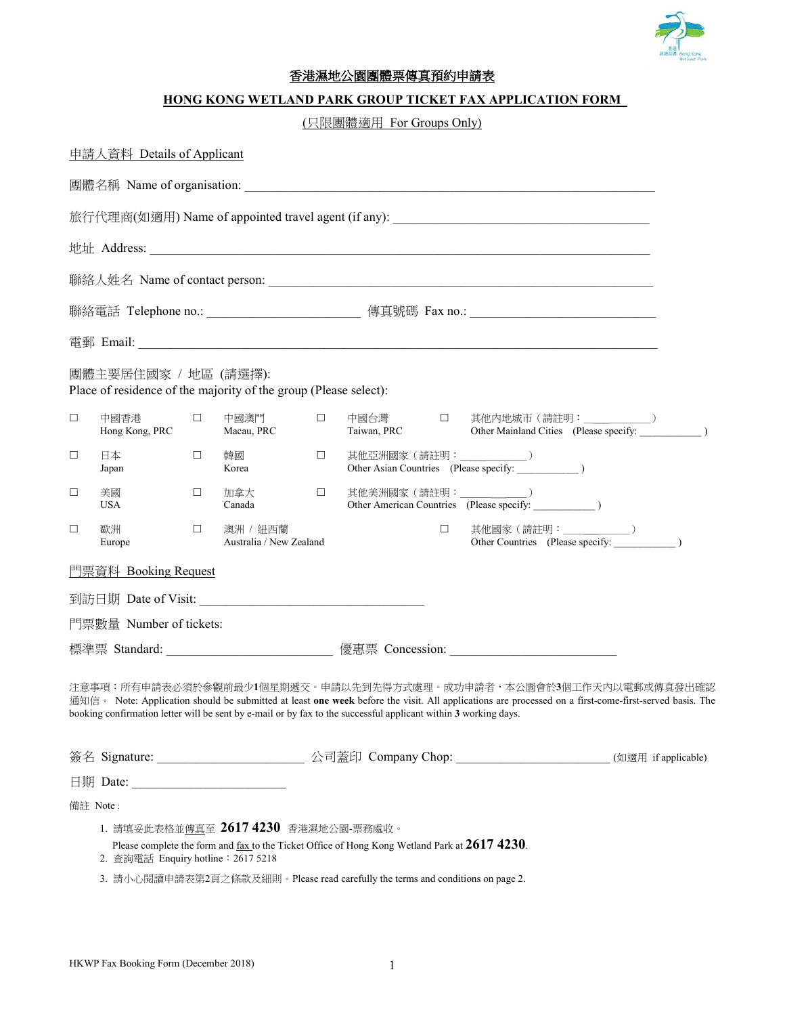

# 香港濕地公園團體票傳真預約申請表

### **HONG KONG WETLAND PARK GROUP TICKET FAX APPLICATION FORM**

# (只限團體適用 For Groups Only)

|                                                                                          | 中請人資料 Details of Applicant                                                                                      |        |                                                                                                                   |        |                       |        |                                                                                                                                                                                                                           |  |
|------------------------------------------------------------------------------------------|-----------------------------------------------------------------------------------------------------------------|--------|-------------------------------------------------------------------------------------------------------------------|--------|-----------------------|--------|---------------------------------------------------------------------------------------------------------------------------------------------------------------------------------------------------------------------------|--|
|                                                                                          |                                                                                                                 |        |                                                                                                                   |        |                       |        |                                                                                                                                                                                                                           |  |
| 旅行代理商(如適用) Name of appointed travel agent (if any): ___________________________________  |                                                                                                                 |        |                                                                                                                   |        |                       |        |                                                                                                                                                                                                                           |  |
|                                                                                          |                                                                                                                 |        |                                                                                                                   |        |                       |        |                                                                                                                                                                                                                           |  |
|                                                                                          |                                                                                                                 |        |                                                                                                                   |        |                       |        |                                                                                                                                                                                                                           |  |
|                                                                                          |                                                                                                                 |        |                                                                                                                   |        |                       |        |                                                                                                                                                                                                                           |  |
|                                                                                          |                                                                                                                 |        |                                                                                                                   |        |                       |        |                                                                                                                                                                                                                           |  |
| 團體主要居住國家 / 地區 (請選擇):<br>Place of residence of the majority of the group (Please select): |                                                                                                                 |        |                                                                                                                   |        |                       |        |                                                                                                                                                                                                                           |  |
| $\Box$                                                                                   | 中國香港<br>Hong Kong, PRC                                                                                          | $\Box$ | 中國澳門<br>Macau, PRC                                                                                                | $\Box$ | 中國台灣 口<br>Taiwan, PRC |        | 其他内地城市 (請註明: ___________)<br>Other Mainland Cities (Please specify: 1999)                                                                                                                                                 |  |
| $\Box$                                                                                   | 日本<br>Japan                                                                                                     | $\Box$ | 韓國<br>Korea                                                                                                       | $\Box$ |                       |        | 其他亞洲國家 (請註明: ___________)<br>Other Asian Countries (Please specify: ____________)                                                                                                                                         |  |
| $\Box$                                                                                   | 美國<br>USA                                                                                                       | $\Box$ | 加拿大<br>Canada                                                                                                     | $\Box$ |                       |        | 其他美洲國家 (請註明: ___________)<br>Other American Countries (Please specify:                                                                                                                                                    |  |
| □                                                                                        | 歐洲<br>Europe                                                                                                    | □      | 澳洲 / 紐西蘭<br>Australia / New Zealand                                                                               |        |                       | $\Box$ | 其他國家 (請註明: _______________)<br>Other Countries (Please specify: ___________)                                                                                                                                              |  |
|                                                                                          | 門票資料 Booking Request                                                                                            |        |                                                                                                                   |        |                       |        |                                                                                                                                                                                                                           |  |
|                                                                                          |                                                                                                                 |        |                                                                                                                   |        |                       |        |                                                                                                                                                                                                                           |  |
|                                                                                          | 門票數量 Number of tickets:                                                                                         |        |                                                                                                                   |        |                       |        |                                                                                                                                                                                                                           |  |
|                                                                                          |                                                                                                                 |        |                                                                                                                   |        |                       |        | 標準票 Standard: __________________________ 優惠票 Concession: ________________________                                                                                                                                         |  |
|                                                                                          | booking confirmation letter will be sent by e-mail or by fax to the successful applicant within 3 working days. |        |                                                                                                                   |        |                       |        | 注意事項:所有申請表必須於參觀前最少1個星期遞交。申請以先到先得方式處理。成功申請者,本公園會於3個工作天內以電郵或傳真發出確認<br>通知信。 Note: Application should be submitted at least one week before the visit. All applications are processed on a first-come-first-served basis. The |  |
|                                                                                          | 簽名 Signature: _____________________ 公司蓋印 Company Chop: _____________________(如適用 if applicable)                 |        |                                                                                                                   |        |                       |        |                                                                                                                                                                                                                           |  |
|                                                                                          |                                                                                                                 |        |                                                                                                                   |        |                       |        |                                                                                                                                                                                                                           |  |
|                                                                                          | 備註 Note:                                                                                                        |        |                                                                                                                   |        |                       |        |                                                                                                                                                                                                                           |  |
|                                                                                          | 1. 請填妥此表格並傳真至 2617 4230 香港濕地公園-票務處收。<br>2. 查詢電話 Enquiry hotline: 2617 5218                                      |        | Please complete the form and $\frac{fax}{\text{to}}$ to the Ticket Office of Hong Kong Wetland Park at 2617 4230. |        |                       |        |                                                                                                                                                                                                                           |  |
|                                                                                          | 3. 請小心閱讀申請表第2頁之條款及細則。Please read carefully the terms and conditions on page 2.                                  |        |                                                                                                                   |        |                       |        |                                                                                                                                                                                                                           |  |